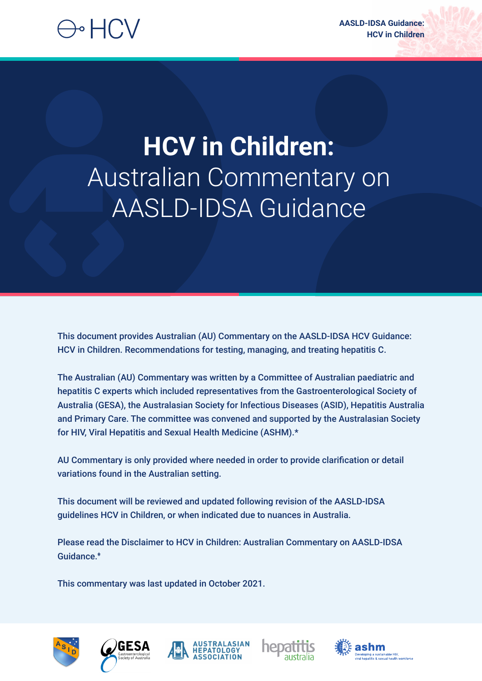# ) • HCV

# **HCV in Children:**  Australian Commentary on AASLD-IDSA Guidance

This document provides Australian (AU) Commentary on the AASLD-IDSA HCV Guidance: HCV in Children. Recommendations for testing, managing, and treating hepatitis C.

The Australian (AU) Commentary was written by a Committee of Australian paediatric and hepatitis C experts which included representatives from the Gastroenterological Society of Australia (GESA), the Australasian Society for Infectious Diseases (ASID), Hepatitis Australia and Primary Care. The committee was convened and supported by the Australasian Society for HIV, Viral Hepatitis and Sexual Health Medicine (ASHM).\*

AU Commentary is only provided where needed in order to provide clarification or detail variations found in the Australian setting.

This document will be reviewed and updated following revision of the AASLD-IDSA guidelines HCV in Children, or when indicated due to nuances in Australia.

Please read the Disclaimer to HCV in Children: Australian Commentary on AASLD-IDSA Guidance.**<sup>ǂ</sup>**

This commentary was last updated in October 2021.









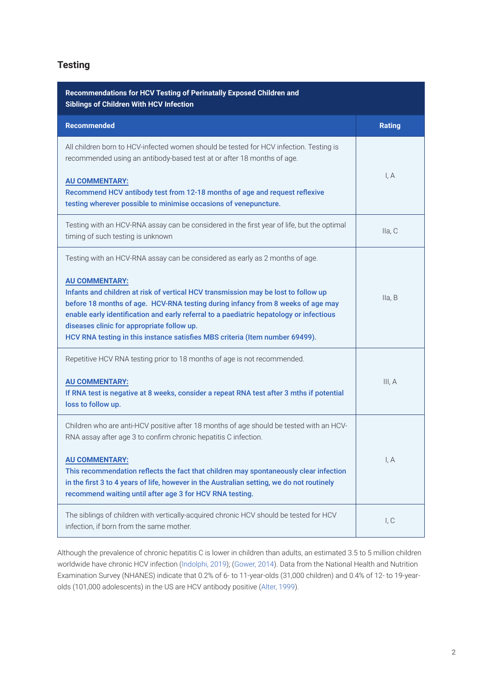# **Testing**

| Recommendations for HCV Testing of Perinatally Exposed Children and<br><b>Siblings of Children With HCV Infection</b>                                                                                                                                                                                                                                                                                                                                                                                   |               |
|---------------------------------------------------------------------------------------------------------------------------------------------------------------------------------------------------------------------------------------------------------------------------------------------------------------------------------------------------------------------------------------------------------------------------------------------------------------------------------------------------------|---------------|
| <b>Recommended</b>                                                                                                                                                                                                                                                                                                                                                                                                                                                                                      | <b>Rating</b> |
| All children born to HCV-infected women should be tested for HCV infection. Testing is<br>recommended using an antibody-based test at or after 18 months of age.<br><b>AU COMMENTARY:</b><br>Recommend HCV antibody test from 12-18 months of age and request reflexive<br>testing wherever possible to minimise occasions of venepuncture.                                                                                                                                                             | I, A          |
| Testing with an HCV-RNA assay can be considered in the first year of life, but the optimal<br>timing of such testing is unknown                                                                                                                                                                                                                                                                                                                                                                         | Ila, C        |
| Testing with an HCV-RNA assay can be considered as early as 2 months of age.<br><b>AU COMMENTARY:</b><br>Infants and children at risk of vertical HCV transmission may be lost to follow up<br>before 18 months of age. HCV-RNA testing during infancy from 8 weeks of age may<br>enable early identification and early referral to a paediatric hepatology or infectious<br>diseases clinic for appropriate follow up.<br>HCV RNA testing in this instance satisfies MBS criteria (Item number 69499). | lla, B        |
| Repetitive HCV RNA testing prior to 18 months of age is not recommended.<br><b>AU COMMENTARY:</b><br>If RNA test is negative at 8 weeks, consider a repeat RNA test after 3 mths if potential<br>loss to follow up.                                                                                                                                                                                                                                                                                     | III, A        |
| Children who are anti-HCV positive after 18 months of age should be tested with an HCV-<br>RNA assay after age 3 to confirm chronic hepatitis C infection.<br><b>AU COMMENTARY:</b><br>This recommendation reflects the fact that children may spontaneously clear infection<br>in the first 3 to 4 years of life, however in the Australian setting, we do not routinely<br>recommend waiting until after age 3 for HCV RNA testing.                                                                   | I, A          |
| The siblings of children with vertically-acquired chronic HCV should be tested for HCV<br>infection, if born from the same mother.                                                                                                                                                                                                                                                                                                                                                                      | I, C          |

Although the prevalence of chronic hepatitis C is lower in children than adults, an estimated 3.5 to 5 million children worldwide have chronic HCV infection (Indolphi, 2019); (Gower, 2014). Data from the National Health and Nutrition Examination Survey (NHANES) indicate that 0.2% of 6- to 11-year-olds (31,000 children) and 0.4% of 12- to 19-yearolds (101,000 adolescents) in the US are HCV antibody positive (Alter, 1999).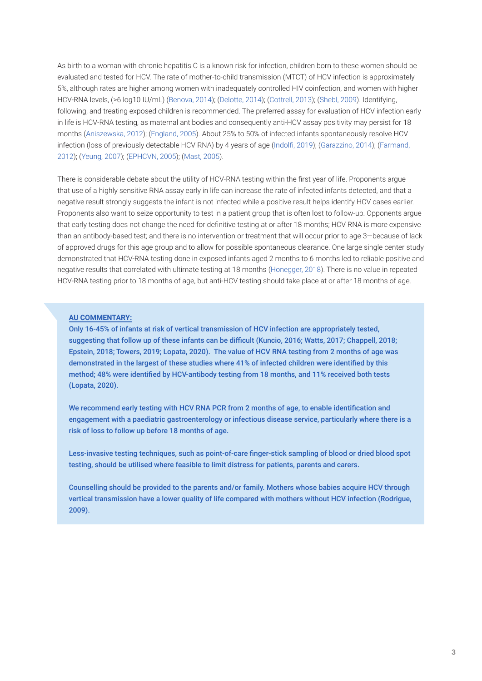As birth to a woman with chronic hepatitis C is a known risk for infection, children born to these women should be evaluated and tested for HCV. The rate of mother-to-child transmission (MTCT) of HCV infection is approximately 5%, although rates are higher among women with inadequately controlled HIV coinfection, and women with higher HCV-RNA levels, (>6 log10 IU/mL) (Benova, 2014); (Delotte, 2014); (Cottrell, 2013); (Shebl, 2009). Identifying, following, and treating exposed children is recommended. The preferred assay for evaluation of HCV infection early in life is HCV-RNA testing, as maternal antibodies and consequently anti-HCV assay positivity may persist for 18 months (Aniszewska, 2012); (England, 2005). About 25% to 50% of infected infants spontaneously resolve HCV infection (loss of previously detectable HCV RNA) by 4 years of age (Indolfi, 2019); (Garazzino, 2014); (Farmand, 2012); (Yeung, 2007); (EPHCVN, 2005); (Mast, 2005).

There is considerable debate about the utility of HCV-RNA testing within the first year of life. Proponents argue that use of a highly sensitive RNA assay early in life can increase the rate of infected infants detected, and that a negative result strongly suggests the infant is not infected while a positive result helps identify HCV cases earlier. Proponents also want to seize opportunity to test in a patient group that is often lost to follow-up. Opponents argue that early testing does not change the need for definitive testing at or after 18 months; HCV RNA is more expensive than an antibody-based test; and there is no intervention or treatment that will occur prior to age 3—because of lack of approved drugs for this age group and to allow for possible spontaneous clearance. One large single center study demonstrated that HCV-RNA testing done in exposed infants aged 2 months to 6 months led to reliable positive and negative results that correlated with ultimate testing at 18 months (Honegger, 2018). There is no value in repeated HCV-RNA testing prior to 18 months of age, but anti-HCV testing should take place at or after 18 months of age.

#### **AU COMMENTARY:**

Only 16-45% of infants at risk of vertical transmission of HCV infection are appropriately tested, suggesting that follow up of these infants can be difficult (Kuncio, 2016; Watts, 2017; Chappell, 2018; Epstein, 2018; Towers, 2019; Lopata, 2020). The value of HCV RNA testing from 2 months of age was demonstrated in the largest of these studies where 41% of infected children were identified by this method; 48% were identified by HCV-antibody testing from 18 months, and 11% received both tests (Lopata, 2020).

We recommend early testing with HCV RNA PCR from 2 months of age, to enable identification and engagement with a paediatric gastroenterology or infectious disease service, particularly where there is a risk of loss to follow up before 18 months of age.

Less-invasive testing techniques, such as point-of-care finger-stick sampling of blood or dried blood spot testing, should be utilised where feasible to limit distress for patients, parents and carers.

Counselling should be provided to the parents and/or family. Mothers whose babies acquire HCV through vertical transmission have a lower quality of life compared with mothers without HCV infection (Rodrigue, 2009).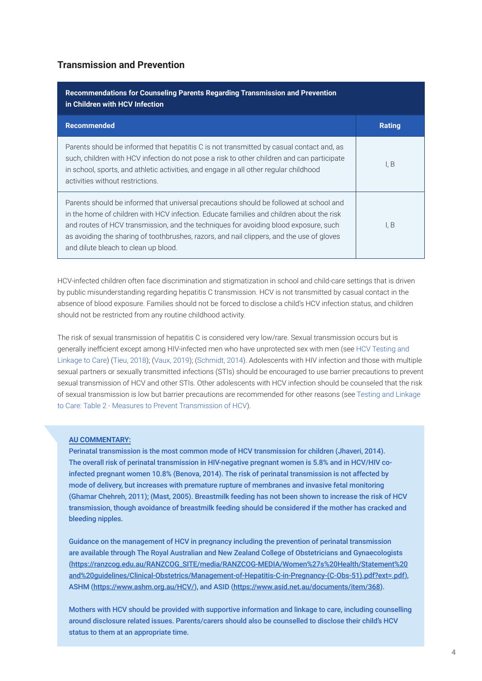# **Transmission and Prevention**

| Recommendations for Counseling Parents Regarding Transmission and Prevention<br>in Children with HCV Infection                                                                                                                                                                                                                                                                                                  |               |
|-----------------------------------------------------------------------------------------------------------------------------------------------------------------------------------------------------------------------------------------------------------------------------------------------------------------------------------------------------------------------------------------------------------------|---------------|
| <b>Recommended</b>                                                                                                                                                                                                                                                                                                                                                                                              | <b>Rating</b> |
| Parents should be informed that hepatitis C is not transmitted by casual contact and, as<br>such, children with HCV infection do not pose a risk to other children and can participate<br>in school, sports, and athletic activities, and engage in all other regular childhood<br>activities without restrictions.                                                                                             | I, B          |
| Parents should be informed that universal precautions should be followed at school and<br>in the home of children with HCV infection. Educate families and children about the risk<br>and routes of HCV transmission, and the techniques for avoiding blood exposure, such<br>as avoiding the sharing of toothbrushes, razors, and nail clippers, and the use of gloves<br>and dilute bleach to clean up blood. | I, B          |

HCV-infected children often face discrimination and stigmatization in school and child-care settings that is driven by public misunderstanding regarding hepatitis C transmission. HCV is not transmitted by casual contact in the absence of blood exposure. Families should not be forced to disclose a child's HCV infection status, and children should not be restricted from any routine childhood activity.

The risk of sexual transmission of hepatitis C is considered very low/rare. Sexual transmission occurs but is generally inefficient except among HIV-infected men who have unprotected sex with men (see HCV Testing and Linkage to Care) (Tieu, 2018); (Vaux, 2019); (Schmidt, 2014). Adolescents with HIV infection and those with multiple sexual partners or sexually transmitted infections (STIs) should be encouraged to use barrier precautions to prevent sexual transmission of HCV and other STIs. Other adolescents with HCV infection should be counseled that the risk of sexual transmission is low but barrier precautions are recommended for other reasons (see Testing and Linkage to Care: Table 2 - Measures to Prevent Transmission of HCV).

## **AU COMMENTARY:**

Perinatal transmission is the most common mode of HCV transmission for children (Jhaveri, 2014). The overall risk of perinatal transmission in HIV-negative pregnant women is 5.8% and in HCV/HIV coinfected pregnant women 10.8% (Benova, 2014). The risk of perinatal transmission is not affected by mode of delivery, but increases with premature rupture of membranes and invasive fetal monitoring (Ghamar Chehreh, 2011); (Mast, 2005). Breastmilk feeding has not been shown to increase the risk of HCV transmission, though avoidance of breastmilk feeding should be considered if the mother has cracked and bleeding nipples.

Guidance on the management of HCV in pregnancy including the prevention of perinatal transmission are available through The Royal Australian and New Zealand College of Obstetricians and Gynaecologists (https://ranzcog.edu.au/RANZCOG\_SITE/media/RANZCOG-MEDIA/Women%27s%20Health/Statement%20 and%20guidelines/Clinical-Obstetrics/Management-of-Hepatitis-C-in-Pregnancy-(C-Obs-51).pdf?ext=.pdf), ASHM (https://www.ashm.org.au/HCV/), and ASID (https://www.asid.net.au/documents/item/368).

Mothers with HCV should be provided with supportive information and linkage to care, including counselling around disclosure related issues. Parents/carers should also be counselled to disclose their child's HCV status to them at an appropriate time.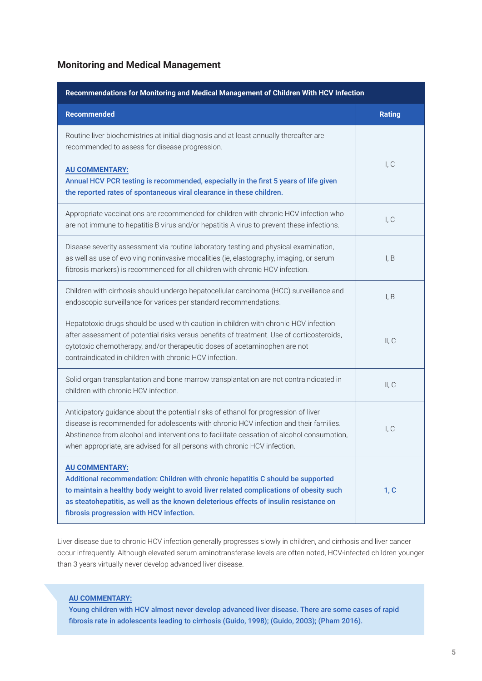# **Monitoring and Medical Management**

| Recommendations for Monitoring and Medical Management of Children With HCV Infection                                                                                                                                                                                                                                                                   |               |
|--------------------------------------------------------------------------------------------------------------------------------------------------------------------------------------------------------------------------------------------------------------------------------------------------------------------------------------------------------|---------------|
| <b>Recommended</b>                                                                                                                                                                                                                                                                                                                                     | <b>Rating</b> |
| Routine liver biochemistries at initial diagnosis and at least annually thereafter are<br>recommended to assess for disease progression.                                                                                                                                                                                                               |               |
| <b>AU COMMENTARY:</b><br>Annual HCV PCR testing is recommended, especially in the first 5 years of life given<br>the reported rates of spontaneous viral clearance in these children.                                                                                                                                                                  | I, C          |
| Appropriate vaccinations are recommended for children with chronic HCV infection who<br>are not immune to hepatitis B virus and/or hepatitis A virus to prevent these infections.                                                                                                                                                                      | I, C          |
| Disease severity assessment via routine laboratory testing and physical examination,<br>as well as use of evolving noninvasive modalities (ie, elastography, imaging, or serum<br>fibrosis markers) is recommended for all children with chronic HCV infection.                                                                                        | I, B          |
| Children with cirrhosis should undergo hepatocellular carcinoma (HCC) surveillance and<br>endoscopic surveillance for varices per standard recommendations.                                                                                                                                                                                            | I, B          |
| Hepatotoxic drugs should be used with caution in children with chronic HCV infection<br>after assessment of potential risks versus benefits of treatment. Use of corticosteroids,<br>cytotoxic chemotherapy, and/or therapeutic doses of acetaminophen are not<br>contraindicated in children with chronic HCV infection.                              | II, C         |
| Solid organ transplantation and bone marrow transplantation are not contraindicated in<br>children with chronic HCV infection.                                                                                                                                                                                                                         | II, C         |
| Anticipatory guidance about the potential risks of ethanol for progression of liver<br>disease is recommended for adolescents with chronic HCV infection and their families.<br>Abstinence from alcohol and interventions to facilitate cessation of alcohol consumption,<br>when appropriate, are advised for all persons with chronic HCV infection. | I, C          |
| <b>AU COMMENTARY:</b><br>Additional recommendation: Children with chronic hepatitis C should be supported<br>to maintain a healthy body weight to avoid liver related complications of obesity such<br>as steatohepatitis, as well as the known deleterious effects of insulin resistance on<br>fibrosis progression with HCV infection.               | 1, C          |

Liver disease due to chronic HCV infection generally progresses slowly in children, and cirrhosis and liver cancer occur infrequently. Although elevated serum aminotransferase levels are often noted, HCV-infected children younger than 3 years virtually never develop advanced liver disease.

## **AU COMMENTARY:**

Young children with HCV almost never develop advanced liver disease. There are some cases of rapid fibrosis rate in adolescents leading to cirrhosis (Guido, 1998); (Guido, 2003); (Pham 2016).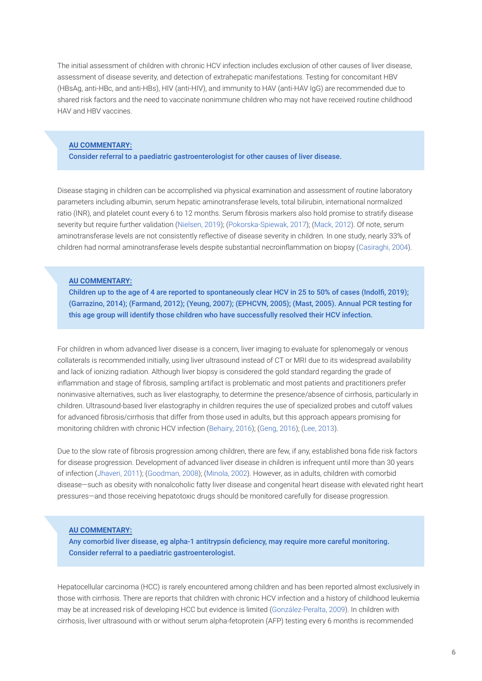The initial assessment of children with chronic HCV infection includes exclusion of other causes of liver disease, assessment of disease severity, and detection of extrahepatic manifestations. Testing for concomitant HBV (HBsAg, anti-HBc, and anti-HBs), HIV (anti-HIV), and immunity to HAV (anti-HAV IgG) are recommended due to shared risk factors and the need to vaccinate nonimmune children who may not have received routine childhood HAV and HBV vaccines.

#### **AU COMMENTARY:**

Consider referral to a paediatric gastroenterologist for other causes of liver disease.

Disease staging in children can be accomplished via physical examination and assessment of routine laboratory parameters including albumin, serum hepatic aminotransferase levels, total bilirubin, international normalized ratio (INR), and platelet count every 6 to 12 months. Serum fibrosis markers also hold promise to stratify disease severity but require further validation (Nielsen, 2019); (Pokorska-Spiewak, 2017); (Mack, 2012). Of note, serum aminotransferase levels are not consistently reflective of disease severity in children. In one study, nearly 33% of children had normal aminotransferase levels despite substantial necroinflammation on biopsy (Casiraghi, 2004).

#### **AU COMMENTARY:**

Children up to the age of 4 are reported to spontaneously clear HCV in 25 to 50% of cases (Indolfi, 2019); (Garrazino, 2014); (Farmand, 2012); (Yeung, 2007); (EPHCVN, 2005); (Mast, 2005). Annual PCR testing for this age group will identify those children who have successfully resolved their HCV infection.

For children in whom advanced liver disease is a concern, liver imaging to evaluate for splenomegaly or venous collaterals is recommended initially, using liver ultrasound instead of CT or MRI due to its widespread availability and lack of ionizing radiation. Although liver biopsy is considered the gold standard regarding the grade of inflammation and stage of fibrosis, sampling artifact is problematic and most patients and practitioners prefer noninvasive alternatives, such as liver elastography, to determine the presence/absence of cirrhosis, particularly in children. Ultrasound-based liver elastography in children requires the use of specialized probes and cutoff values for advanced fibrosis/cirrhosis that differ from those used in adults, but this approach appears promising for monitoring children with chronic HCV infection (Behairy, 2016); (Geng, 2016); (Lee, 2013).

Due to the slow rate of fibrosis progression among children, there are few, if any, established bona fide risk factors for disease progression. Development of advanced liver disease in children is infrequent until more than 30 years of infection (Jhaveri, 2011); (Goodman, 2008); (Minola, 2002). However, as in adults, children with comorbid disease—such as obesity with nonalcoholic fatty liver disease and congenital heart disease with elevated right heart pressures—and those receiving hepatotoxic drugs should be monitored carefully for disease progression.

## **AU COMMENTARY:**

Any comorbid liver disease, eg alpha-1 antitrypsin deficiency, may require more careful monitoring. Consider referral to a paediatric gastroenterologist.

Hepatocellular carcinoma (HCC) is rarely encountered among children and has been reported almost exclusively in those with cirrhosis. There are reports that children with chronic HCV infection and a history of childhood leukemia may be at increased risk of developing HCC but evidence is limited (González-Peralta, 2009). In children with cirrhosis, liver ultrasound with or without serum alpha-fetoprotein (AFP) testing every 6 months is recommended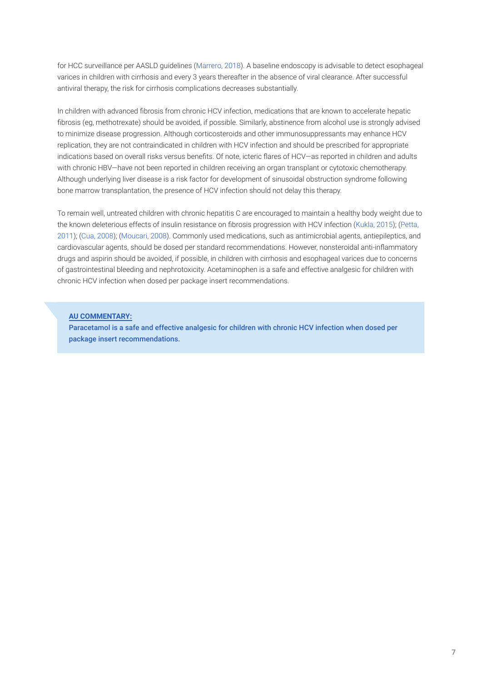for HCC surveillance per AASLD guidelines (Marrero, 2018). A baseline endoscopy is advisable to detect esophageal varices in children with cirrhosis and every 3 years thereafter in the absence of viral clearance. After successful antiviral therapy, the risk for cirrhosis complications decreases substantially.

In children with advanced fibrosis from chronic HCV infection, medications that are known to accelerate hepatic fibrosis (eg, methotrexate) should be avoided, if possible. Similarly, abstinence from alcohol use is strongly advised to minimize disease progression. Although corticosteroids and other immunosuppressants may enhance HCV replication, they are not contraindicated in children with HCV infection and should be prescribed for appropriate indications based on overall risks versus benefits. Of note, icteric flares of HCV—as reported in children and adults with chronic HBV—have not been reported in children receiving an organ transplant or cytotoxic chemotherapy. Although underlying liver disease is a risk factor for development of sinusoidal obstruction syndrome following bone marrow transplantation, the presence of HCV infection should not delay this therapy.

To remain well, untreated children with chronic hepatitis C are encouraged to maintain a healthy body weight due to the known deleterious effects of insulin resistance on fibrosis progression with HCV infection (Kukla, 2015); (Petta, 2011); (Cua, 2008); (Moucari, 2008). Commonly used medications, such as antimicrobial agents, antiepileptics, and cardiovascular agents, should be dosed per standard recommendations. However, nonsteroidal anti-inflammatory drugs and aspirin should be avoided, if possible, in children with cirrhosis and esophageal varices due to concerns of gastrointestinal bleeding and nephrotoxicity. Acetaminophen is a safe and effective analgesic for children with chronic HCV infection when dosed per package insert recommendations.

### **AU COMMENTARY:**

Paracetamol is a safe and effective analgesic for children with chronic HCV infection when dosed per package insert recommendations.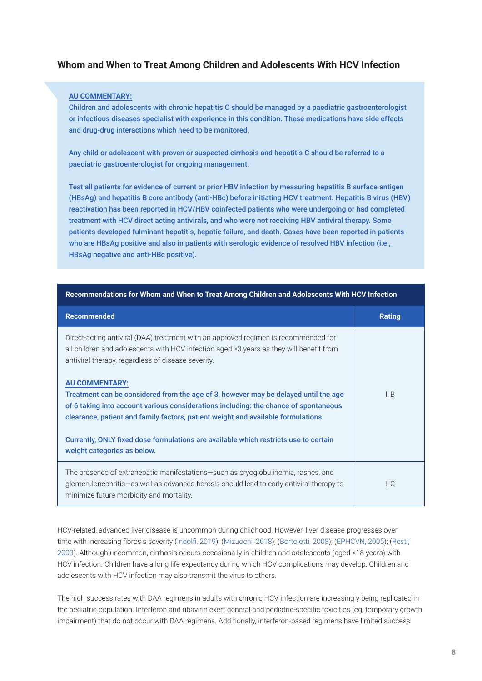# **Whom and When to Treat Among Children and Adolescents With HCV Infection**

### **AU COMMENTARY:**

Children and adolescents with chronic hepatitis C should be managed by a paediatric gastroenterologist or infectious diseases specialist with experience in this condition. These medications have side effects and drug-drug interactions which need to be monitored.

Any child or adolescent with proven or suspected cirrhosis and hepatitis C should be referred to a paediatric gastroenterologist for ongoing management.

Test all patients for evidence of current or prior HBV infection by measuring hepatitis B surface antigen (HBsAg) and hepatitis B core antibody (anti-HBc) before initiating HCV treatment. Hepatitis B virus (HBV) reactivation has been reported in HCV/HBV coinfected patients who were undergoing or had completed treatment with HCV direct acting antivirals, and who were not receiving HBV antiviral therapy. Some patients developed fulminant hepatitis, hepatic failure, and death. Cases have been reported in patients who are HBsAg positive and also in patients with serologic evidence of resolved HBV infection (i.e., HBsAg negative and anti-HBc positive).

| <b>Recommended</b>                                                                                                                                                                                                                                                                        | <b>Rating</b> |
|-------------------------------------------------------------------------------------------------------------------------------------------------------------------------------------------------------------------------------------------------------------------------------------------|---------------|
| Direct-acting antiviral (DAA) treatment with an approved regimen is recommended for<br>all children and adolescents with HCV infection aged $\geq$ 3 years as they will benefit from<br>antiviral therapy, regardless of disease severity.                                                |               |
| <b>AU COMMENTARY:</b><br>Treatment can be considered from the age of 3, however may be delayed until the age<br>of 6 taking into account various considerations including: the chance of spontaneous<br>clearance, patient and family factors, patient weight and available formulations. | I, B          |
| Currently, ONLY fixed dose formulations are available which restricts use to certain<br>weight categories as below.                                                                                                                                                                       |               |
| The presence of extrahepatic manifestations—such as cryoglobulinemia, rashes, and<br>glomerulonephritis—as well as advanced fibrosis should lead to early antiviral therapy to<br>minimize future morbidity and mortality.                                                                | I, C          |

**Recommendations for Whom and When to Treat Among Children and Adolescents With HCV Infection**

HCV-related, advanced liver disease is uncommon during childhood. However, liver disease progresses over time with increasing fibrosis severity (Indolfi, 2019); (Mizuochi, 2018); (Bortolotti, 2008); (EPHCVN, 2005); (Resti, 2003). Although uncommon, cirrhosis occurs occasionally in children and adolescents (aged <18 years) with HCV infection. Children have a long life expectancy during which HCV complications may develop. Children and adolescents with HCV infection may also transmit the virus to others.

The high success rates with DAA regimens in adults with chronic HCV infection are increasingly being replicated in the pediatric population. Interferon and ribavirin exert general and pediatric-specific toxicities (eg, temporary growth impairment) that do not occur with DAA regimens. Additionally, interferon-based regimens have limited success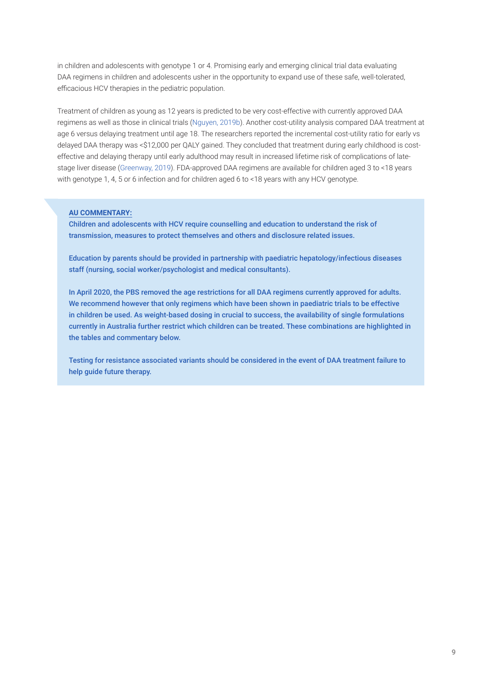in children and adolescents with genotype 1 or 4. Promising early and emerging clinical trial data evaluating DAA regimens in children and adolescents usher in the opportunity to expand use of these safe, well-tolerated, efficacious HCV therapies in the pediatric population.

Treatment of children as young as 12 years is predicted to be very cost-effective with currently approved DAA regimens as well as those in clinical trials (Nguyen, 2019b). Another cost-utility analysis compared DAA treatment at age 6 versus delaying treatment until age 18. The researchers reported the incremental cost-utility ratio for early vs delayed DAA therapy was <\$12,000 per QALY gained. They concluded that treatment during early childhood is costeffective and delaying therapy until early adulthood may result in increased lifetime risk of complications of latestage liver disease (Greenway, 2019). FDA-approved DAA regimens are available for children aged 3 to <18 years with genotype 1, 4, 5 or 6 infection and for children aged 6 to <18 years with any HCV genotype.

## **AU COMMENTARY:**

Children and adolescents with HCV require counselling and education to understand the risk of transmission, measures to protect themselves and others and disclosure related issues.

Education by parents should be provided in partnership with paediatric hepatology/infectious diseases staff (nursing, social worker/psychologist and medical consultants).

In April 2020, the PBS removed the age restrictions for all DAA regimens currently approved for adults. We recommend however that only regimens which have been shown in paediatric trials to be effective in children be used. As weight-based dosing in crucial to success, the availability of single formulations currently in Australia further restrict which children can be treated. These combinations are highlighted in the tables and commentary below.

Testing for resistance associated variants should be considered in the event of DAA treatment failure to help guide future therapy.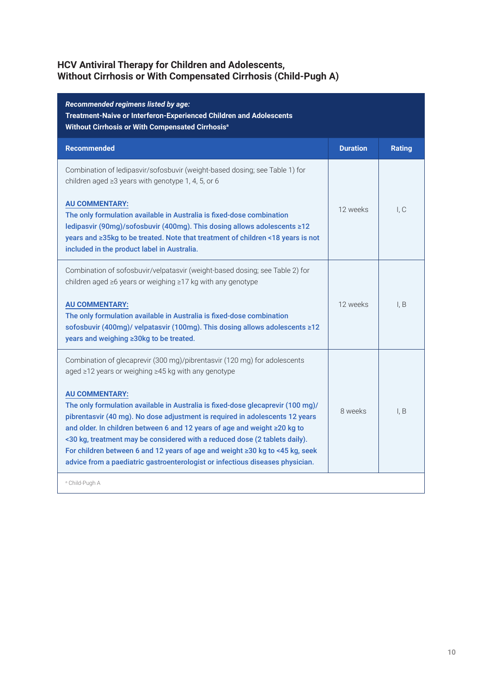# **HCV Antiviral Therapy for Children and Adolescents, Without Cirrhosis or With Compensated Cirrhosis (Child-Pugh A)**

| Recommended regimens listed by age:<br>Treatment-Naive or Interferon-Experienced Children and Adolescents<br>Without Cirrhosis or With Compensated Cirrhosis <sup>a</sup>                                                                                                                                                                                                                                                                                                                                            |                 |               |
|----------------------------------------------------------------------------------------------------------------------------------------------------------------------------------------------------------------------------------------------------------------------------------------------------------------------------------------------------------------------------------------------------------------------------------------------------------------------------------------------------------------------|-----------------|---------------|
| <b>Recommended</b>                                                                                                                                                                                                                                                                                                                                                                                                                                                                                                   | <b>Duration</b> | <b>Rating</b> |
| Combination of ledipasvir/sofosbuvir (weight-based dosing; see Table 1) for<br>children aged $\geq$ 3 years with genotype 1, 4, 5, or 6                                                                                                                                                                                                                                                                                                                                                                              |                 |               |
| <b>AU COMMENTARY:</b><br>The only formulation available in Australia is fixed-dose combination<br>ledipasvir (90mg)/sofosbuvir (400mg). This dosing allows adolescents ≥12<br>years and ≥35kg to be treated. Note that treatment of children <18 years is not<br>included in the product label in Australia.                                                                                                                                                                                                         | 12 weeks        | I, C          |
| Combination of sofosbuvir/velpatasvir (weight-based dosing; see Table 2) for<br>children aged ≥6 years or weighing ≥17 kg with any genotype                                                                                                                                                                                                                                                                                                                                                                          |                 |               |
| <b>AU COMMENTARY:</b><br>The only formulation available in Australia is fixed-dose combination<br>sofosbuvir (400mg)/ velpatasvir (100mg). This dosing allows adolescents ≥12<br>years and weighing ≥30kg to be treated.                                                                                                                                                                                                                                                                                             | 12 weeks        | I. B          |
| Combination of glecaprevir (300 mg)/pibrentasvir (120 mg) for adolescents<br>aged ≥12 years or weighing ≥45 kg with any genotype                                                                                                                                                                                                                                                                                                                                                                                     |                 |               |
| <b>AU COMMENTARY:</b><br>The only formulation available in Australia is fixed-dose glecaprevir (100 mg)/<br>pibrentasvir (40 mg). No dose adjustment is required in adolescents 12 years<br>and older. In children between 6 and 12 years of age and weight ≥20 kg to<br><30 kg, treatment may be considered with a reduced dose (2 tablets daily).<br>For children between 6 and 12 years of age and weight ≥30 kg to <45 kg, seek<br>advice from a paediatric gastroenterologist or infectious diseases physician. | 8 weeks         | I. B          |
| <sup>a</sup> Child-Pugh A                                                                                                                                                                                                                                                                                                                                                                                                                                                                                            |                 |               |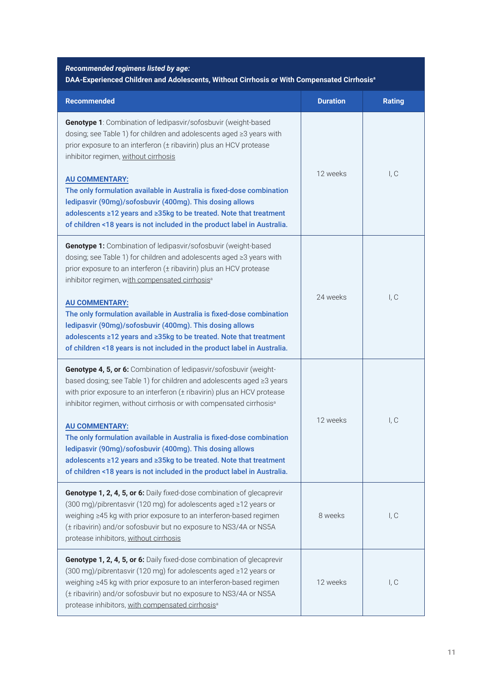# *Recommended regimens listed by age:* **DAA-Experienced Children and Adolescents, Without Cirrhosis or With Compensated Cirrhosisa**

| <b>Recommended</b>                                                                                                                                                                                                                                                                                                                                                                                                                                                                                                                                                                                                        | <b>Duration</b> | <b>Rating</b> |
|---------------------------------------------------------------------------------------------------------------------------------------------------------------------------------------------------------------------------------------------------------------------------------------------------------------------------------------------------------------------------------------------------------------------------------------------------------------------------------------------------------------------------------------------------------------------------------------------------------------------------|-----------------|---------------|
| Genotype 1: Combination of ledipasvir/sofosbuvir (weight-based<br>dosing; see Table 1) for children and adolescents aged ≥3 years with<br>prior exposure to an interferon (± ribavirin) plus an HCV protease<br>inhibitor regimen, without cirrhosis<br><b>AU COMMENTARY:</b><br>The only formulation available in Australia is fixed-dose combination<br>ledipasvir (90mg)/sofosbuvir (400mg). This dosing allows<br>adolescents ≥12 years and ≥35kg to be treated. Note that treatment<br>of children <18 years is not included in the product label in Australia.                                                      | 12 weeks        | I, C          |
| Genotype 1: Combination of ledipasvir/sofosbuvir (weight-based<br>dosing; see Table 1) for children and adolescents aged ≥3 years with<br>prior exposure to an interferon (± ribavirin) plus an HCV protease<br>inhibitor regimen, with compensated cirrhosis <sup>a</sup>                                                                                                                                                                                                                                                                                                                                                | 24 weeks        | I, C          |
| <b>AU COMMENTARY:</b><br>The only formulation available in Australia is fixed-dose combination<br>ledipasvir (90mg)/sofosbuvir (400mg). This dosing allows<br>adolescents ≥12 years and ≥35kg to be treated. Note that treatment<br>of children <18 years is not included in the product label in Australia.                                                                                                                                                                                                                                                                                                              |                 |               |
| Genotype 4, 5, or 6: Combination of ledipasvir/sofosbuvir (weight-<br>based dosing; see Table 1) for children and adolescents aged ≥3 years<br>with prior exposure to an interferon (± ribavirin) plus an HCV protease<br>inhibitor regimen, without cirrhosis or with compensated cirrhosis <sup>a</sup><br><b>AU COMMENTARY:</b><br>The only formulation available in Australia is fixed-dose combination<br>ledipasvir (90mg)/sofosbuvir (400mg). This dosing allows<br>adolescents ≥12 years and ≥35kg to be treated. Note that treatment<br>of children <18 years is not included in the product label in Australia. | 12 weeks        | I, C          |
| Genotype 1, 2, 4, 5, or 6: Daily fixed-dose combination of glecaprevir<br>(300 mg)/pibrentasvir (120 mg) for adolescents aged ≥12 years or<br>weighing ≥45 kg with prior exposure to an interferon-based regimen<br>(± ribavirin) and/or sofosbuvir but no exposure to NS3/4A or NS5A<br>protease inhibitors, without cirrhosis                                                                                                                                                                                                                                                                                           | 8 weeks         | I, C          |
| Genotype 1, 2, 4, 5, or 6: Daily fixed-dose combination of glecaprevir<br>(300 mg)/pibrentasvir (120 mg) for adolescents aged ≥12 years or<br>weighing ≥45 kg with prior exposure to an interferon-based regimen<br>(± ribavirin) and/or sofosbuvir but no exposure to NS3/4A or NS5A<br>protease inhibitors, with compensated cirrhosis <sup>a</sup>                                                                                                                                                                                                                                                                     | 12 weeks        | I, C          |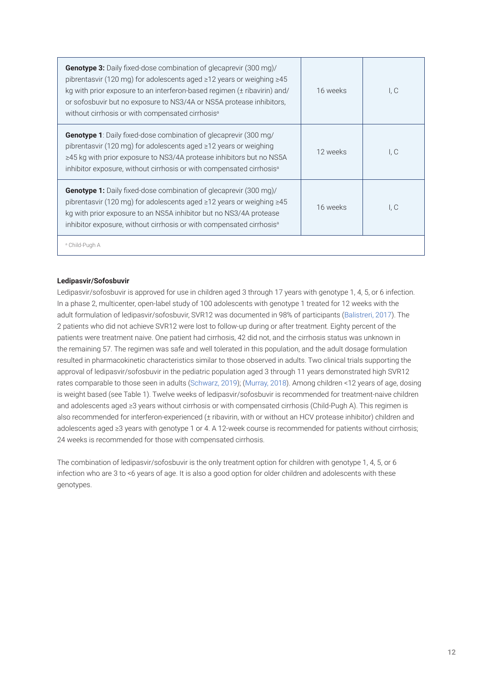| <b>Genotype 3:</b> Daily fixed-dose combination of glecaprevir (300 mg)/<br>pibrentasvir (120 mg) for adolescents aged $\geq$ 12 years or weighing $\geq$ 45<br>kg with prior exposure to an interferon-based regimen (± ribavirin) and/<br>or sofosbuvir but no exposure to NS3/4A or NS5A protease inhibitors,<br>without cirrhosis or with compensated cirrhosis <sup>a</sup> | 16 weeks | I, C        |
|----------------------------------------------------------------------------------------------------------------------------------------------------------------------------------------------------------------------------------------------------------------------------------------------------------------------------------------------------------------------------------|----------|-------------|
| Genotype 1: Daily fixed-dose combination of glecaprevir (300 mg/<br>pibrentasvir (120 mg) for adolescents aged $\geq$ 12 years or weighing<br>$\geq$ 45 kg with prior exposure to NS3/4A protease inhibitors but no NS5A<br>inhibitor exposure, without cirrhosis or with compensated cirrhosis <sup>a</sup>                                                                     | 12 weeks | l. C        |
| <b>Genotype 1:</b> Daily fixed-dose combination of glecaprevir (300 mg)/<br>pibrentasvir (120 mg) for adolescents aged $\geq$ 12 years or weighing $\geq$ 45<br>kg with prior exposure to an NS5A inhibitor but no NS3/4A protease<br>inhibitor exposure, without cirrhosis or with compensated cirrhosis <sup>a</sup>                                                           | 16 weeks | $L_{\rm C}$ |
| <sup>a</sup> Child-Pugh A                                                                                                                                                                                                                                                                                                                                                        |          |             |

## **Ledipasvir/Sofosbuvir**

Ledipasvir/sofosbuvir is approved for use in children aged 3 through 17 years with genotype 1, 4, 5, or 6 infection. In a phase 2, multicenter, open-label study of 100 adolescents with genotype 1 treated for 12 weeks with the adult formulation of ledipasvir/sofosbuvir, SVR12 was documented in 98% of participants (Balistreri, 2017). The 2 patients who did not achieve SVR12 were lost to follow-up during or after treatment. Eighty percent of the patients were treatment naive. One patient had cirrhosis, 42 did not, and the cirrhosis status was unknown in the remaining 57. The regimen was safe and well tolerated in this population, and the adult dosage formulation resulted in pharmacokinetic characteristics similar to those observed in adults. Two clinical trials supporting the approval of ledipasvir/sofosbuvir in the pediatric population aged 3 through 11 years demonstrated high SVR12 rates comparable to those seen in adults (Schwarz, 2019); (Murray, 2018). Among children <12 years of age, dosing is weight based (see Table 1). Twelve weeks of ledipasvir/sofosbuvir is recommended for treatment-naive children and adolescents aged ≥3 years without cirrhosis or with compensated cirrhosis (Child-Pugh A). This regimen is also recommended for interferon-experienced (± ribavirin, with or without an HCV protease inhibitor) children and adolescents aged ≥3 years with genotype 1 or 4. A 12-week course is recommended for patients without cirrhosis; 24 weeks is recommended for those with compensated cirrhosis.

The combination of ledipasvir/sofosbuvir is the only treatment option for children with genotype 1, 4, 5, or 6 infection who are 3 to <6 years of age. It is also a good option for older children and adolescents with these genotypes.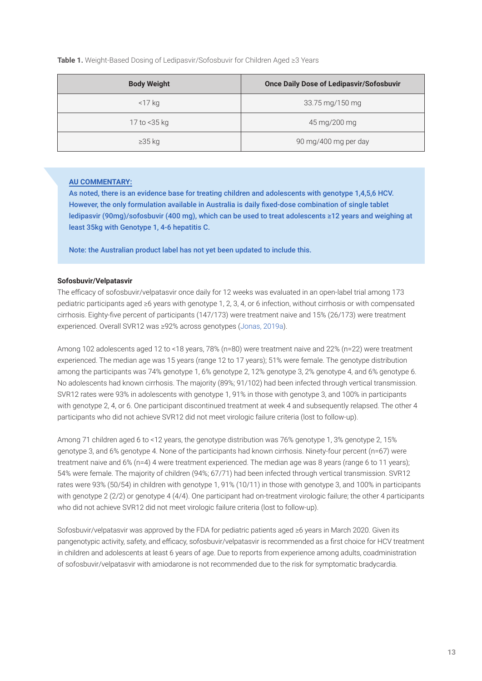**Table 1.** Weight-Based Dosing of Ledipasvir/Sofosbuvir for Children Aged ≥3 Years

| <b>Body Weight</b> | <b>Once Daily Dose of Ledipasvir/Sofosbuvir</b> |  |
|--------------------|-------------------------------------------------|--|
| $<$ 17 kg          | 33.75 mg/150 mg                                 |  |
| 17 to <35 kg       | 45 mg/200 mg                                    |  |
| $\geq$ 35 kg       | 90 mg/400 mg per day                            |  |

# **AU COMMENTARY:**

As noted, there is an evidence base for treating children and adolescents with genotype 1,4,5,6 HCV. However, the only formulation available in Australia is daily fixed-dose combination of single tablet ledipasvir (90mg)/sofosbuvir (400 mg), which can be used to treat adolescents ≥12 years and weighing at least 35kg with Genotype 1, 4-6 hepatitis C.

Note: the Australian product label has not yet been updated to include this.

### **Sofosbuvir/Velpatasvir**

The efficacy of sofosbuvir/velpatasvir once daily for 12 weeks was evaluated in an open-label trial among 173 pediatric participants aged ≥6 years with genotype 1, 2, 3, 4, or 6 infection, without cirrhosis or with compensated cirrhosis. Eighty-five percent of participants (147/173) were treatment naive and 15% (26/173) were treatment experienced. Overall SVR12 was ≥92% across genotypes (Jonas, 2019a).

Among 102 adolescents aged 12 to <18 years, 78% (n=80) were treatment naive and 22% (n=22) were treatment experienced. The median age was 15 years (range 12 to 17 years); 51% were female. The genotype distribution among the participants was 74% genotype 1, 6% genotype 2, 12% genotype 3, 2% genotype 4, and 6% genotype 6. No adolescents had known cirrhosis. The majority (89%; 91/102) had been infected through vertical transmission. SVR12 rates were 93% in adolescents with genotype 1, 91% in those with genotype 3, and 100% in participants with genotype 2, 4, or 6. One participant discontinued treatment at week 4 and subsequently relapsed. The other 4 participants who did not achieve SVR12 did not meet virologic failure criteria (lost to follow-up).

Among 71 children aged 6 to <12 years, the genotype distribution was 76% genotype 1, 3% genotype 2, 15% genotype 3, and 6% genotype 4. None of the participants had known cirrhosis. Ninety-four percent (n=67) were treatment naive and 6% (n=4) 4 were treatment experienced. The median age was 8 years (range 6 to 11 years); 54% were female. The majority of children (94%; 67/71) had been infected through vertical transmission. SVR12 rates were 93% (50/54) in children with genotype 1, 91% (10/11) in those with genotype 3, and 100% in participants with genotype 2 (2/2) or genotype 4 (4/4). One participant had on-treatment virologic failure; the other 4 participants who did not achieve SVR12 did not meet virologic failure criteria (lost to follow-up).

Sofosbuvir/velpatasvir was approved by the FDA for pediatric patients aged ≥6 years in March 2020. Given its pangenotypic activity, safety, and efficacy, sofosbuvir/velpatasvir is recommended as a first choice for HCV treatment in children and adolescents at least 6 years of age. Due to reports from experience among adults, coadministration of sofosbuvir/velpatasvir with amiodarone is not recommended due to the risk for symptomatic bradycardia.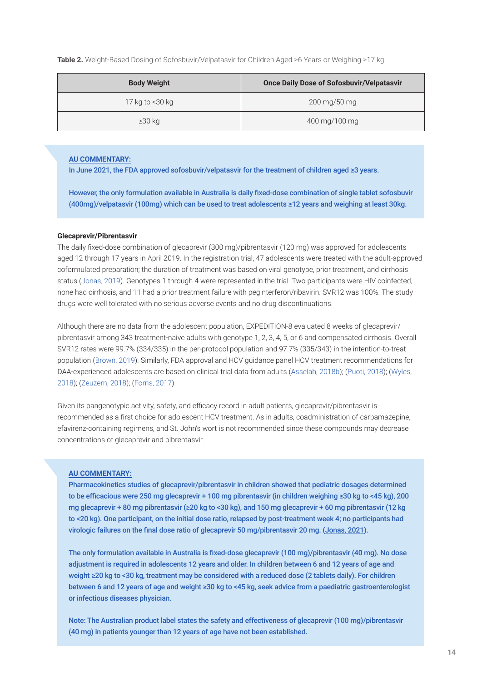**Table 2.** Weight-Based Dosing of Sofosbuvir/Velpatasvir for Children Aged ≥6 Years or Weighing ≥17 kg

| <b>Once Daily Dose of Sofosbuvir/Velpatasvir</b><br><b>Body Weight</b> |                                      |
|------------------------------------------------------------------------|--------------------------------------|
| 17 kg to <30 kg                                                        | $200 \,\mathrm{mg}/50 \,\mathrm{mg}$ |
| $\geq$ 30 kg                                                           | 400 mg/100 mg                        |

### **AU COMMENTARY:**

In June 2021, the FDA approved sofosbuvir/velpatasvir for the treatment of children aged ≥3 years.

However, the only formulation available in Australia is daily fixed-dose combination of single tablet sofosbuvir (400mg)/velpatasvir (100mg) which can be used to treat adolescents ≥12 years and weighing at least 30kg.

#### **Glecaprevir/Pibrentasvir**

The daily fixed-dose combination of glecaprevir (300 mg)/pibrentasvir (120 mg) was approved for adolescents aged 12 through 17 years in April 2019. In the registration trial, 47 adolescents were treated with the adult-approved coformulated preparation; the duration of treatment was based on viral genotype, prior treatment, and cirrhosis status (Jonas, 2019). Genotypes 1 through 4 were represented in the trial. Two participants were HIV coinfected, none had cirrhosis, and 11 had a prior treatment failure with peginterferon/ribavirin. SVR12 was 100%. The study drugs were well tolerated with no serious adverse events and no drug discontinuations.

Although there are no data from the adolescent population, EXPEDITION-8 evaluated 8 weeks of glecaprevir/ pibrentasvir among 343 treatment-naive adults with genotype 1, 2, 3, 4, 5, or 6 and compensated cirrhosis. Overall SVR12 rates were 99.7% (334/335) in the per-protocol population and 97.7% (335/343) in the intention-to-treat population (Brown, 2019). Similarly, FDA approval and HCV guidance panel HCV treatment recommendations for DAA-experienced adolescents are based on clinical trial data from adults (Asselah, 2018b); (Puoti, 2018); (Wyles, 2018); (Zeuzem, 2018); (Forns, 2017).

Given its pangenotypic activity, safety, and efficacy record in adult patients, glecaprevir/pibrentasvir is recommended as a first choice for adolescent HCV treatment. As in adults, coadministration of carbamazepine, efavirenz-containing regimens, and St. John's wort is not recommended since these compounds may decrease concentrations of glecaprevir and pibrentasvir.

#### **AU COMMENTARY:**

Pharmacokinetics studies of glecaprevir/pibrentasvir in children showed that pediatric dosages determined to be efficacious were 250 mg glecaprevir + 100 mg pibrentasvir (in children weighing ≥30 kg to <45 kg), 200 mg glecaprevir + 80 mg pibrentasvir (≥20 kg to <30 kg), and 150 mg glecaprevir + 60 mg pibrentasvir (12 kg to <20 kg). One participant, on the initial dose ratio, relapsed by post-treatment week 4; no participants had virologic failures on the final dose ratio of glecaprevir 50 mg/pibrentasvir 20 mg. (Jonas, 2021).

The only formulation available in Australia is fixed-dose glecaprevir (100 mg)/pibrentasvir (40 mg). No dose adjustment is required in adolescents 12 years and older. In children between 6 and 12 years of age and weight ≥20 kg to <30 kg, treatment may be considered with a reduced dose (2 tablets daily). For children between 6 and 12 years of age and weight ≥30 kg to <45 kg, seek advice from a paediatric gastroenterologist or infectious diseases physician.

Note: The Australian product label states the safety and effectiveness of glecaprevir (100 mg)/pibrentasvir (40 mg) in patients younger than 12 years of age have not been established.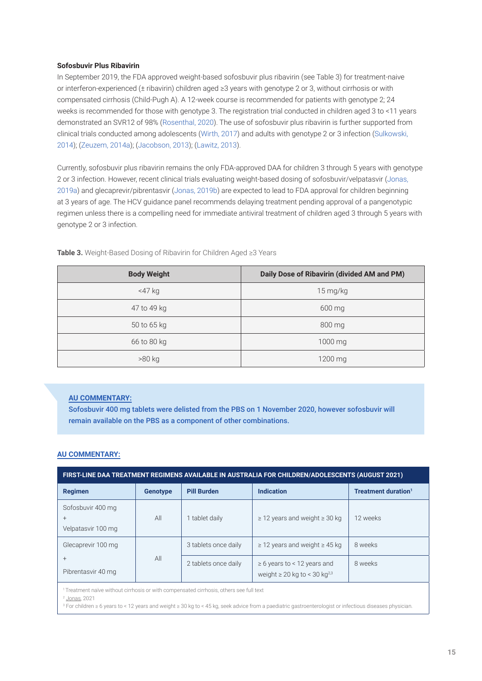### **Sofosbuvir Plus Ribavirin**

In September 2019, the FDA approved weight-based sofosbuvir plus ribavirin (see Table 3) for treatment-naive or interferon-experienced (± ribavirin) children aged ≥3 years with genotype 2 or 3, without cirrhosis or with compensated cirrhosis (Child-Pugh A). A 12-week course is recommended for patients with genotype 2; 24 weeks is recommended for those with genotype 3. The registration trial conducted in children aged 3 to <11 years demonstrated an SVR12 of 98% (Rosenthal, 2020). The use of sofosbuvir plus ribavirin is further supported from clinical trials conducted among adolescents (Wirth, 2017) and adults with genotype 2 or 3 infection (Sulkowski, 2014); (Zeuzem, 2014a); (Jacobson, 2013); (Lawitz, 2013).

Currently, sofosbuvir plus ribavirin remains the only FDA-approved DAA for children 3 through 5 years with genotype 2 or 3 infection. However, recent clinical trials evaluating weight-based dosing of sofosbuvir/velpatasvir (Jonas, 2019a) and glecaprevir/pibrentasvir (Jonas, 2019b) are expected to lead to FDA approval for children beginning at 3 years of age. The HCV guidance panel recommends delaying treatment pending approval of a pangenotypic regimen unless there is a compelling need for immediate antiviral treatment of children aged 3 through 5 years with genotype 2 or 3 infection.

| <b>Body Weight</b> | Daily Dose of Ribavirin (divided AM and PM) |  |
|--------------------|---------------------------------------------|--|
| $<$ 47 $kg$        | 15 mg/kg                                    |  |
| 47 to 49 kg        | 600 mg                                      |  |
| 50 to 65 kg        | 800 mg                                      |  |
| 66 to 80 kg        | 1000 mg                                     |  |
| >80 kg             | 1200 mg                                     |  |

**Table 3.** Weight-Based Dosing of Ribavirin for Children Aged ≥3 Years

## **AU COMMENTARY:**

Sofosbuvir 400 mg tablets were delisted from the PBS on 1 November 2020, however sofosbuvir will remain available on the PBS as a component of other combinations.

## **AU COMMENTARY:**

| FIRST-LINE DAA TREATMENT REGIMENS AVAILABLE IN AUSTRALIA FOR CHILDREN/ADOLESCENTS (AUGUST 2021) |                 |                      |                                                                                   |                                 |
|-------------------------------------------------------------------------------------------------|-----------------|----------------------|-----------------------------------------------------------------------------------|---------------------------------|
| <b>Regimen</b>                                                                                  | <b>Genotype</b> | <b>Pill Burden</b>   | <b>Indication</b>                                                                 | Treatment duration <sup>1</sup> |
| Sofosbuvir 400 mg<br>$^{+}$<br>Velpatasvir 100 mg                                               | All             | tablet daily         | $\geq$ 12 years and weight $\geq$ 30 kg                                           | 12 weeks                        |
| Glecaprevir 100 mg                                                                              |                 | 3 tablets once daily | $\geq$ 12 years and weight $\geq$ 45 kg                                           | 8 weeks                         |
| $^{+}$<br>Pibrentasvir 40 mg                                                                    | All             | 2 tablets once daily | $\geq 6$ years to < 12 years and<br>weight $\geq 20$ kg to < 30 kg <sup>2,3</sup> | 8 weeks                         |

<sup>1</sup> Treatment naïve without cirrhosis or with compensated cirrhosis, others see full text

<sup>2</sup> Jonas, 2021

3 For children ≥ 6 years to < 12 years and weight ≥ 30 kg to < 45 kg, seek advice from a paediatric gastroenterologist or infectious diseases physician.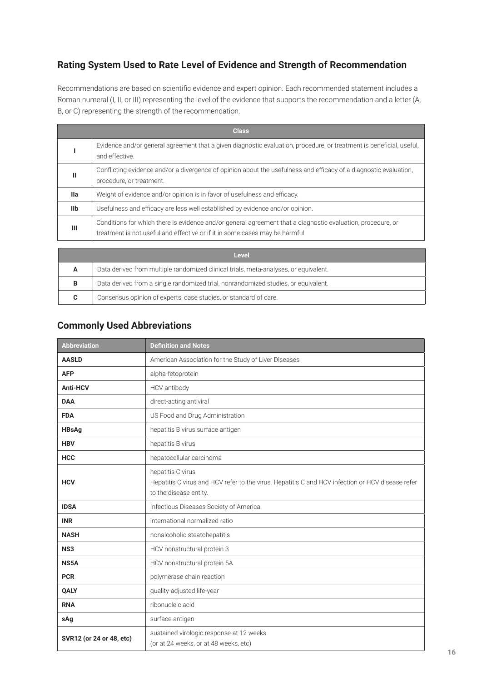# **Rating System Used to Rate Level of Evidence and Strength of Recommendation**

Recommendations are based on scientific evidence and expert opinion. Each recommended statement includes a Roman numeral (I, II, or III) representing the level of the evidence that supports the recommendation and a letter (A, B, or C) representing the strength of the recommendation.

|            | <b>Class</b>                                                                                                                                                                                |
|------------|---------------------------------------------------------------------------------------------------------------------------------------------------------------------------------------------|
|            | Evidence and/or general agreement that a given diagnostic evaluation, procedure, or treatment is beneficial, useful,<br>and effective.                                                      |
| Ш          | Conflicting evidence and/or a divergence of opinion about the usefulness and efficacy of a diagnostic evaluation,<br>procedure, or treatment.                                               |
| <b>Ila</b> | Weight of evidence and/or opinion is in favor of usefulness and efficacy.                                                                                                                   |
| IIb        | Usefulness and efficacy are less well established by evidence and/or opinion.                                                                                                               |
| Ш          | Conditions for which there is evidence and/or general agreement that a diagnostic evaluation, procedure, or<br>treatment is not useful and effective or if it in some cases may be harmful. |

| Level |                                                                                      |  |  |  |
|-------|--------------------------------------------------------------------------------------|--|--|--|
| A     | Data derived from multiple randomized clinical trials, meta-analyses, or equivalent. |  |  |  |
| B     | Data derived from a single randomized trial, nonrandomized studies, or equivalent.   |  |  |  |
| C.    | Consensus opinion of experts, case studies, or standard of care.                     |  |  |  |

# **Commonly Used Abbreviations**

| <b>Abbreviation</b>      | <b>Definition and Notes</b>                                                                                                                     |
|--------------------------|-------------------------------------------------------------------------------------------------------------------------------------------------|
| <b>AASLD</b>             | American Association for the Study of Liver Diseases                                                                                            |
| <b>AFP</b>               | alpha-fetoprotein                                                                                                                               |
| Anti-HCV                 | HCV antibody                                                                                                                                    |
| <b>DAA</b>               | direct-acting antiviral                                                                                                                         |
| <b>FDA</b>               | US Food and Drug Administration                                                                                                                 |
| <b>HBsAg</b>             | hepatitis B virus surface antigen                                                                                                               |
| <b>HBV</b>               | hepatitis B virus                                                                                                                               |
| <b>HCC</b>               | hepatocellular carcinoma                                                                                                                        |
| <b>HCV</b>               | hepatitis C virus<br>Hepatitis C virus and HCV refer to the virus. Hepatitis C and HCV infection or HCV disease refer<br>to the disease entity. |
| <b>IDSA</b>              | Infectious Diseases Society of America                                                                                                          |
| <b>INR</b>               | international normalized ratio                                                                                                                  |
| <b>NASH</b>              | nonalcoholic steatohepatitis                                                                                                                    |
| NS <sub>3</sub>          | HCV nonstructural protein 3                                                                                                                     |
| NS5A                     | HCV nonstructural protein 5A                                                                                                                    |
| <b>PCR</b>               | polymerase chain reaction                                                                                                                       |
| QALY                     | quality-adjusted life-year                                                                                                                      |
| <b>RNA</b>               | ribonucleic acid                                                                                                                                |
| sAg                      | surface antigen                                                                                                                                 |
| SVR12 (or 24 or 48, etc) | sustained virologic response at 12 weeks<br>(or at 24 weeks, or at 48 weeks, etc)                                                               |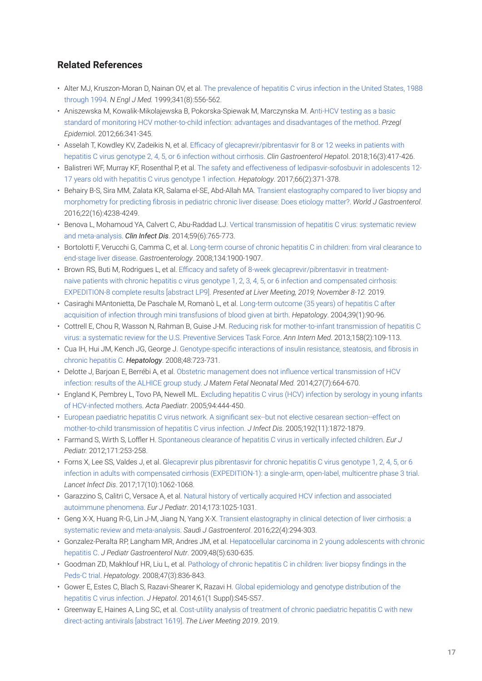# **Related References**

- Alter MJ, Kruszon-Moran D, Nainan OV, et al. The prevalence of hepatitis C virus infection in the United States, 1988 through 1994. *N Engl J Med.* 1999;341(8):556-562.
- Aniszewska M, Kowalik-Mikolajewska B, Pokorska-Spiewak M, Marczynska M. Anti-HCV testing as a basic standard of monitoring HCV mother-to-child infection: advantages and disadvantages of the method. *Przegl Epidemio*l. 2012;66:341-345.
- Asselah T, Kowdley KV, Zadeikis N, et al. Efficacy of glecaprevir/pibrentasvir for 8 or 12 weeks in patients with hepatitis C virus genotype 2, 4, 5, or 6 infection without cirrhosis. *Clin Gastroenterol Hepato*l. 2018;16(3):417-426.
- Balistreri WF, Murray KF, Rosenthal P, et al. The safety and effectiveness of ledipasvir-sofosbuvir in adolescents 12- 17 years old with hepatitis C virus genotype 1 infection. *Hepatology*. 2017;66(2):371-378.
- Behairy B-S, Sira MM, Zalata KR, Salama el-SE, Abd-Allah MA. Transient elastography compared to liver biopsy and morphometry for predicting fibrosis in pediatric chronic liver disease: Does etiology matter?. *World J Gastroenterol*. 2016;22(16):4238-4249.
- Benova L, Mohamoud YA, Calvert C, Abu-Raddad LJ. Vertical transmission of hepatitis C virus: systematic review and meta-analysis. *Clin Infect Dis*. 2014;59(6):765-773.
- Bortolotti F, Verucchi G, Camma C, et al. Long-term course of chronic hepatitis C in children: from viral clearance to end-stage liver disease. *Gastroenterology*. 2008;134:1900-1907.
- Brown RS, Buti M, Rodrigues L, et al. Efficacy and safety of 8-week glecaprevir/pibrentasvir in treatmentnaive patients with chronic hepatitis c virus genotype 1, 2, 3, 4, 5, or 6 infection and compensated cirrhosis: EXPEDITION-8 complete results [abstract LP9]. *Presented at Liver Meeting, 2019; November 8-12.* 2019.
- Casiraghi MAntonietta, De Paschale M, Romanò L, et al. Long-term outcome (35 years) of hepatitis C after acquisition of infection through mini transfusions of blood given at birth. *Hepatology*. 2004;39(1):90-96.
- Cottrell E, Chou R, Wasson N, Rahman B, Guise J-M. Reducing risk for mother-to-infant transmission of hepatitis C virus: a systematic review for the U.S. Preventive Services Task Force. *Ann Intern Med*. 2013;158(2):109-113.
- Cua IH, Hui JM, Kench JG, George J. Genotype-specific interactions of insulin resistance, steatosis, and fibrosis in chronic hepatitis C. *Hepatology*. 2008;48:723-731.
- Delotte J, Barjoan E, Berrébi A, et al. Obstetric management does not influence vertical transmission of HCV infection: results of the ALHICE group study. *J Matern Fetal Neonatal Med.* 2014;27(7):664-670.
- England K, Pembrey L, Tovo PA, Newell ML. Excluding hepatitis C virus (HCV) infection by serology in young infants of HCV-infected mothers. *Acta Paediatr*. 2005;94:444-450.
- European paediatric hepatitis C virus network. A significant sex--but not elective cesarean section--effect on mother-to-child transmission of hepatitis C virus infection. *J Infect Dis*. 2005;192(11):1872-1879.
- Farmand S, Wirth S, Loffler H. Spontaneous clearance of hepatitis C virus in vertically infected children. *Eur J Pediatr.* 2012;171:253-258.
- Forns X, Lee SS, Valdes J, et al. Glecaprevir plus pibrentasvir for chronic hepatitis C virus genotype 1, 2, 4, 5, or 6 infection in adults with compensated cirrhosis (EXPEDITION-1): a single-arm, open-label, multicentre phase 3 trial. *Lancet Infect Dis*. 2017;17(10):1062-1068.
- Garazzino S, Calitri C, Versace A, et al. Natural history of vertically acquired HCV infection and associated autoimmune phenomena. *Eur J Pediatr*. 2014;173:1025-1031.
- Geng X-X, Huang R-G, Lin J-M, Jiang N, Yang X-X. Transient elastography in clinical detection of liver cirrhosis: a systematic review and meta-analysis. *Saudi J Gastroenterol*. 2016;22(4):294-303.
- Gonzalez-Peralta RP, Langham MR, Andres JM, et al. Hepatocellular carcinoma in 2 young adolescents with chronic hepatitis C. *J Pediatr Gastroenterol Nutr*. 2009;48(5):630-635.
- Goodman ZD, Makhlouf HR, Liu L, et al. Pathology of chronic hepatitis C in children: liver biopsy findings in the Peds-C trial. *Hepatology*. 2008;47(3):836-843.
- Gower E, Estes C, Blach S, Razavi-Shearer K, Razavi H. Global epidemiology and genotype distribution of the hepatitis C virus infection. *J Hepatol*. 2014;61(1 Suppl):S45-S57.
- Greenway E, Haines A, Ling SC, et al. Cost-utility analysis of treatment of chronic paediatric hepatitis C with new direct-acting antivirals [abstract 1619]. *The Liver Meeting 2019*. 2019.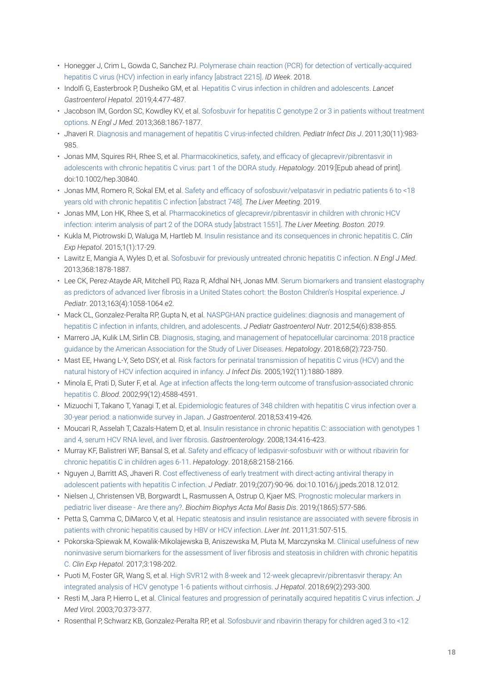- Honegger J, Crim L, Gowda C, Sanchez PJ. Polymerase chain reaction (PCR) for detection of vertically-acquired hepatitis C virus (HCV) infection in early infancy [abstract 2215]. *ID Week*. 2018.
- Indolfi G, Easterbrook P, Dusheiko GM, et al. Hepatitis C virus infection in children and adolescents. *Lancet Gastroenterol Hepatol*. 2019;4:477-487.
- Jacobson IM, Gordon SC, Kowdley KV, et al. Sofosbuvir for hepatitis C genotype 2 or 3 in patients without treatment options. *N Engl J Med.* 2013;368:1867-1877.
- Jhaveri R. Diagnosis and management of hepatitis C virus-infected children. *Pediatr Infect Dis J*. 2011;30(11):983- 985.
- Jonas MM, Squires RH, Rhee S, et al. Pharmacokinetics, safety, and efficacy of glecaprevir/pibrentasvir in adolescents with chronic hepatitis C virus: part 1 of the DORA study. *Hepatology*. 2019:[Epub ahead of print]. doi:10.1002/hep.30840.
- Jonas MM, Romero R, Sokal EM, et al. Safety and efficacy of sofosbuvir/velpatasvir in pediatric patients 6 to <18 years old with chronic hepatitis C infection [abstract 748]. *The Liver Meeting*. 2019.
- Jonas MM, Lon HK, Rhee S, et al. Pharmacokinetics of glecaprevir/pibrentasvir in children with chronic HCV infection: interim analysis of part 2 of the DORA study [abstract 1551]. *The Liver Meeting. Boston. 2019*.
- Kukla M, Piotrowski D, Waluga M, Hartleb M. Insulin resistance and its consequences in chronic hepatitis C. *Clin Exp Hepatol*. 2015;1(1):17-29.
- Lawitz E, Mangia A, Wyles D, et al. Sofosbuvir for previously untreated chronic hepatitis C infection. *N Engl J Med*. 2013;368:1878-1887.
- Lee CK, Perez-Atayde AR, Mitchell PD, Raza R, Afdhal NH, Jonas MM. Serum biomarkers and transient elastography as predictors of advanced liver fibrosis in a United States cohort: the Boston Children's Hospital experience. *J Pediatr*. 2013;163(4):1058-1064.e2.
- Mack CL, Gonzalez-Peralta RP, Gupta N, et al. NASPGHAN practice guidelines: diagnosis and management of hepatitis C infection in infants, children, and adolescents. *J Pediatr Gastroenterol Nutr*. 2012;54(6):838-855.
- Marrero JA, Kulik LM, Sirlin CB. Diagnosis, staging, and management of hepatocellular carcinoma: 2018 practice guidance by the American Association for the Study of Liver Diseases. *Hepatology*. 2018;68(2):723-750.
- Mast EE, Hwang L-Y, Seto DSY, et al. Risk factors for perinatal transmission of hepatitis C virus (HCV) and the natural history of HCV infection acquired in infancy. *J Infect Dis*. 2005;192(11):1880-1889.
- Minola E, Prati D, Suter F, et al. Age at infection affects the long-term outcome of transfusion-associated chronic hepatitis C. *Blood*. 2002;99(12):4588-4591.
- Mizuochi T, Takano T, Yanagi T, et al. Epidemiologic features of 348 children with hepatitis C virus infection over a 30-year period: a nationwide survey in Japan. *J Gastroenterol.* 2018;53:419-426.
- Moucari R, Asselah T, Cazals-Hatem D, et al. Insulin resistance in chronic hepatitis C: association with genotypes 1 and 4, serum HCV RNA level, and liver fibrosis. *Gastroenterology*. 2008;134:416-423.
- Murray KF, Balistreri WF, Bansal S, et al. Safety and efficacy of ledipasvir-sofosbuvir with or without ribavirin for chronic hepatitis C in children ages 6-11. *Hepatology*. 2018;68:2158-2166.
- Nguyen J, Barritt AS, Jhaveri R. Cost effectiveness of early treatment with direct-acting antiviral therapy in adolescent patients with hepatitis C infection. *J Pediatr*. 2019;(207):90-96. doi:10.1016/j.jpeds.2018.12.012.
- Nielsen J, Christensen VB, Borgwardt L, Rasmussen A, Ostrup O, Kjaer MS. Prognostic molecular markers in pediatric liver disease - Are there any?. *Biochim Biophys Acta Mol Basis Dis*. 2019;(1865):577-586.
- Petta S, Camma C, DiMarco V, et al. Hepatic steatosis and insulin resistance are associated with severe fibrosis in patients with chronic hepatitis caused by HBV or HCV infection. *Liver Int*. 2011;31:507-515.
- Pokorska-Spiewak M, Kowalik-Mikolajewska B, Aniszewska M, Pluta M, Marczynska M. Clinical usefulness of new noninvasive serum biomarkers for the assessment of liver fibrosis and steatosis in children with chronic hepatitis C. *Clin Exp Hepatol*. 2017;3:198-202.
- Puoti M, Foster GR, Wang S, et al. High SVR12 with 8-week and 12-week glecaprevir/pibrentasvir therapy: An integrated analysis of HCV genotype 1-6 patients without cirrhosis. *J Hepatol*. 2018;69(2):293-300.
- Resti M, Jara P, Hierro L, et al. Clinical features and progression of perinatally acquired hepatitis C virus infection. *J Med Viro*l. 2003;70:373-377.
- Rosenthal P, Schwarz KB, Gonzalez-Peralta RP, et al. Sofosbuvir and ribavirin therapy for children aged 3 to <12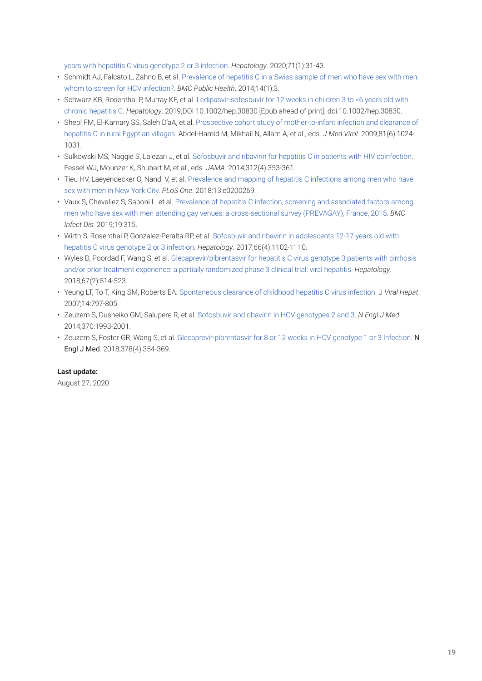years with hepatitis C virus genotype 2 or 3 infection. *Hepatology*. 2020;71(1):31-43.

- Schmidt AJ, Falcato L, Zahno B, et al. Prevalence of hepatitis C in a Swiss sample of men who have sex with men: whom to screen for HCV infection?. *BMC Public Health*. 2014;14(1):3.
- Schwarz KB, Rosenthal P, Murray KF, et al. Ledipasvir-sofosbuvir for 12 weeks in children 3 to <6 years old with chronic hepatitis C. *Hepatology*. 2019;DOI 10.1002/hep.30830 [Epub ahead of print]. doi:10.1002/hep.30830.
- Shebl FM, El-Kamary SS, Saleh D'aA, et al. Prospective cohort study of mother-to-infant infection and clearance of hepatitis C in rural Egyptian villages. Abdel-Hamid M, Mikhail N, Allam A, et al., eds. *J Med Virol*. 2009;81(6):1024- 1031.
- Sulkowski MS, Naggie S, Lalezari J, et al. Sofosbuvir and ribavirin for hepatitis C in patients with HIV coinfection. Fessel WJ, Mounzer K, Shuhart M, et al., eds. *JAMA*. 2014;312(4):353-361.
- Tieu HV, Laeyendecker O, Nandi V, et al. Prevalence and mapping of hepatitis C infections among men who have sex with men in New York City. *PLoS One*. 2018:13:e0200269.
- Vaux S, Chevaliez S, Saboni L, et al. Prevalence of hepatitis C infection, screening and associated factors among men who have sex with men attending gay venues: a cross-sectional survey (PREVAGAY), France, 2015. *BMC Infect Dis*. 2019;19:315.
- Wirth S, Rosenthal P, Gonzalez-Peralta RP, et al. Sofosbuvir and ribavirin in adolescents 12-17 years old with hepatitis C virus genotype 2 or 3 infection. *Hepatology*. 2017;66(4):1102-1110.
- Wyles D, Poordad F, Wang S, et al. Glecaprevir/pibrentasvir for hepatitis C virus genotype 3 patients with cirrhosis and/or prior treatment experience: a partially randomized phase 3 clinical trial: viral hepatitis. *Hepatology*. 2018;67(2):514-523.
- Yeung LT, To T, King SM, Roberts EA. Spontaneous clearance of childhood hepatitis C virus infection. J *Viral Hepat*. 2007;14:797-805.
- Zeuzem S, Dusheiko GM, Salupere R, et al. Sofosbuvir and ribavirin in HCV genotypes 2 and 3. *N Engl J Med*. 2014;370:1993-2001.
- Zeuzem S, Foster GR, Wang S, et al. Glecaprevir-pibrentasvir for 8 or 12 weeks in HCV genotype 1 or 3 Infection. N Engl J Med. 2018;378(4):354-369.

# **Last update:**

August 27, 2020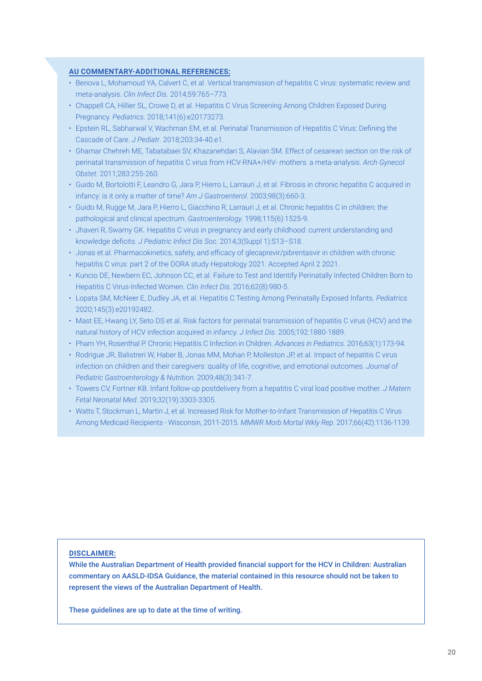## **AU COMMENTARY-ADDITIONAL REFERENCES:**

- Benova L, Mohamoud YA, Calvert C, et al. Vertical transmission of hepatitis C virus: systematic review and meta-analysis. *Clin Infect Dis*. 2014;59:765–773.
- Chappell CA, Hillier SL, Crowe D, et al. Hepatitis C Virus Screening Among Children Exposed During Pregnancy. *Pediatrics*. 2018;141(6):e20173273.
- Epstein RL, Sabharwal V, Wachman EM, et al. Perinatal Transmission of Hepatitis C Virus: Defining the Cascade of Care. *J Pediatr*. 2018;203:34-40.e1.
- Ghamar Chehreh ME, Tabatabaei SV, Khazanehdari S, Alavian SM. Effect of cesarean section on the risk of perinatal transmission of hepatitis C virus from HCV-RNA+/HIV- mothers: a meta-analysis. *Arch Gynecol Obstet*. 2011;283:255-260.
- Guido M, Bortolotti F, Leandro G, Jara P, Hierro L, Larrauri J, et al. Fibrosis in chronic hepatitis C acquired in infancy: is it only a matter of time? *Am J Gastroenterol*. 2003;98(3):660-3.
- Guido M, Rugge M, Jara P, Hierro L, Giacchino R, Larrauri J, et al. Chronic hepatitis C in children: the pathological and clinical spectrum. *Gastroenterology.* 1998;115(6):1525-9.
- Jhaveri R, Swamy GK. Hepatitis C virus in pregnancy and early childhood: current understanding and knowledge deficits. *J Pediatric Infect Dis Soc*. 2014;3(Suppl 1):S13–S18.
- Jonas et al. Pharmacokinetics, safety, and efficacy of glecaprevir/pibrentasvir in children with chronic hepatitis C virus: part 2 of the DORA study Hepatology 2021. Accepted April 2 2021.
- Kuncio DE, Newbern EC, Johnson CC, et al. Failure to Test and Identify Perinatally Infected Children Born to Hepatitis C Virus-Infected Women. *Clin Infect Dis*. 2016;62(8):980-5.
- Lopata SM, McNeer E, Dudley JA, et al. Hepatitis C Testing Among Perinatally Exposed Infants. *Pediatrics*. 2020;145(3):e20192482.
- Mast EE, Hwang LY, Seto DS et al. Risk factors for perinatal transmission of hepatitis C virus (HCV) and the natural history of HCV infection acquired in infancy. *J Infect Dis*. 2005;192:1880-1889.
- Pham YH, Rosenthal P. Chronic Hepatitis C Infection in Children. *Advances in Pediatrics*. 2016;63(1):173-94.
- Rodrigue JR, Balistreri W, Haber B, Jonas MM, Mohan P, Molleston JP, et al. Impact of hepatitis C virus infection on children and their caregivers: quality of life, cognitive, and emotional outcomes. *Journal of Pediatric Gastroenterology & Nutrition*. 2009;48(3):341-7.
- Towers CV, Fortner KB. Infant follow-up postdelivery from a hepatitis C viral load positive mother. *J Matern Fetal Neonatal Med*. 2019;32(19):3303-3305.
- Watts T, Stockman L, Martin J, et al. Increased Risk for Mother-to-Infant Transmission of Hepatitis C Virus Among Medicaid Recipients - Wisconsin, 2011-2015. *MMWR Morb Mortal Wkly Rep*. 2017;66(42):1136-1139.

#### **DISCLAIMER:**

While the Australian Department of Health provided financial support for the HCV in Children: Australian commentary on AASLD-IDSA Guidance, the material contained in this resource should not be taken to represent the views of the Australian Department of Health.

These guidelines are up to date at the time of writing.